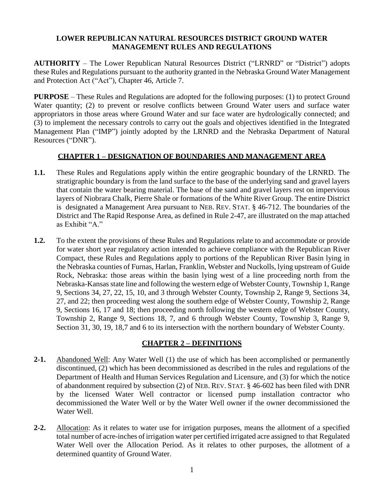### **LOWER REPUBLICAN NATURAL RESOURCES DISTRICT GROUND WATER MANAGEMENT RULES AND REGULATIONS**

**AUTHORITY** – The Lower Republican Natural Resources District ("LRNRD" or "District") adopts these Rules and Regulations pursuant to the authority granted in the Nebraska Ground Water Management and Protection Act ("Act"), Chapter 46, Article 7.

**PURPOSE** – These Rules and Regulations are adopted for the following purposes: (1) to protect Ground Water quantity; (2) to prevent or resolve conflicts between Ground Water users and surface water appropriators in those areas where Ground Water and sur face water are hydrologically connected; and (3) to implement the necessary controls to carry out the goals and objectives identified in the Integrated Management Plan ("IMP") jointly adopted by the LRNRD and the Nebraska Department of Natural Resources ("DNR").

# **CHAPTER 1 – DESIGNATION OF BOUNDARIES AND MANAGEMENT AREA**

- **1.1.** These Rules and Regulations apply within the entire geographic boundary of the LRNRD. The stratigraphic boundary is from the land surface to the base of the underlying sand and gravel layers that contain the water bearing material. The base of the sand and gravel layers rest on impervious layers of Niobrara Chalk, Pierre Shale or formations of the White River Group. The entire District is designated a Management Area pursuant to NEB. REV. STAT. § 46-712. The boundaries of the District and The Rapid Response Area, as defined in Rule 2-47, are illustrated on the map attached as Exhibit "A."
- **1.2.** To the extent the provisions of these Rules and Regulations relate to and accommodate or provide for water short year regulatory action intended to achieve compliance with the Republican River Compact, these Rules and Regulations apply to portions of the Republican River Basin lying in the Nebraska counties of Furnas, Harlan, Franklin, Webster and Nuckolls, lying upstream of Guide Rock, Nebraska: those areas within the basin lying west of a line proceeding north from the Nebraska-Kansas state line and following the western edge of Webster County, Township 1, Range 9, Sections 34, 27, 22, 15, 10, and 3 through Webster County, Township 2, Range 9, Sections 34, 27, and 22; then proceeding west along the southern edge of Webster County, Township 2, Range 9, Sections 16, 17 and 18; then proceeding north following the western edge of Webster County, Township 2, Range 9, Sections 18, 7, and 6 through Webster County, Township 3, Range 9, Section 31, 30, 19, 18,7 and 6 to its intersection with the northern boundary of Webster County.

# **CHAPTER 2 – DEFINITIONS**

- **2-1.** Abandoned Well: Any Water Well (1) the use of which has been accomplished or permanently discontinued, (2) which has been decommissioned as described in the rules and regulations of the Department of Health and Human Services Regulation and Licensure, and (3) for which the notice of abandonment required by subsection (2) of NEB. REV. STAT. § 46-602 has been filed with DNR by the licensed Water Well contractor or licensed pump installation contractor who decommissioned the Water Well or by the Water Well owner if the owner decommissioned the Water Well.
- **2-2.** Allocation: As it relates to water use for irrigation purposes, means the allotment of a specified total number of acre-inches of irrigation water per certified irrigated acre assigned to that Regulated Water Well over the Allocation Period. As it relates to other purposes, the allotment of a determined quantity of Ground Water.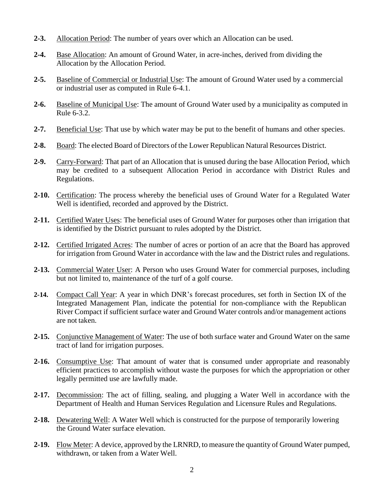- **2-3.** Allocation Period: The number of years over which an Allocation can be used.
- **2-4.** Base Allocation: An amount of Ground Water, in acre-inches, derived from dividing the Allocation by the Allocation Period.
- **2-5.** Baseline of Commercial or Industrial Use: The amount of Ground Water used by a commercial or industrial user as computed in Rule 6-4.1.
- **2-6.** Baseline of Municipal Use: The amount of Ground Water used by a municipality as computed in Rule 6-3.2.
- **2-7.** Beneficial Use: That use by which water may be put to the benefit of humans and other species.
- **2-8.** Board: The elected Board of Directors of the Lower Republican Natural Resources District.
- **2-9.** Carry-Forward: That part of an Allocation that is unused during the base Allocation Period, which may be credited to a subsequent Allocation Period in accordance with District Rules and Regulations.
- **2-10.** Certification: The process whereby the beneficial uses of Ground Water for a Regulated Water Well is identified, recorded and approved by the District.
- **2-11.** Certified Water Uses: The beneficial uses of Ground Water for purposes other than irrigation that is identified by the District pursuant to rules adopted by the District.
- **2-12.** Certified Irrigated Acres: The number of acres or portion of an acre that the Board has approved for irrigation from Ground Water in accordance with the law and the District rules and regulations.
- **2-13.** Commercial Water User: A Person who uses Ground Water for commercial purposes, including but not limited to, maintenance of the turf of a golf course.
- **2-14.** Compact Call Year: A year in which DNR's forecast procedures, set forth in Section IX of the Integrated Management Plan, indicate the potential for non-compliance with the Republican River Compact if sufficient surface water and Ground Water controls and/or management actions are not taken.
- **2-15.** Conjunctive Management of Water: The use of both surface water and Ground Water on the same tract of land for irrigation purposes.
- **2-16.** Consumptive Use: That amount of water that is consumed under appropriate and reasonably efficient practices to accomplish without waste the purposes for which the appropriation or other legally permitted use are lawfully made.
- **2-17.** Decommission: The act of filling, sealing, and plugging a Water Well in accordance with the Department of Health and Human Services Regulation and Licensure Rules and Regulations.
- **2-18.** Dewatering Well: A Water Well which is constructed for the purpose of temporarily lowering the Ground Water surface elevation.
- **2-19.** Flow Meter: A device, approved by the LRNRD, to measure the quantity of Ground Water pumped, withdrawn, or taken from a Water Well.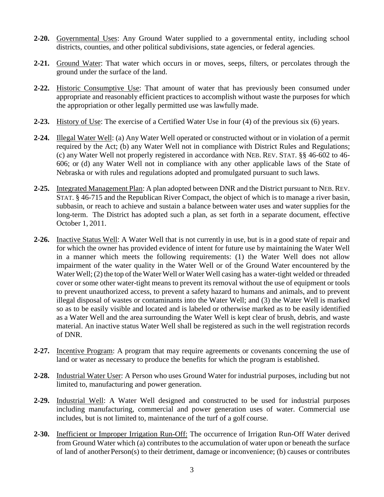- **2-20.** Governmental Uses: Any Ground Water supplied to a governmental entity, including school districts, counties, and other political subdivisions, state agencies, or federal agencies.
- **2-21.** Ground Water: That water which occurs in or moves, seeps, filters, or percolates through the ground under the surface of the land.
- **2-22.** Historic Consumptive Use: That amount of water that has previously been consumed under appropriate and reasonably efficient practices to accomplish without waste the purposes for which the appropriation or other legally permitted use was lawfully made.
- **2-23.** History of Use: The exercise of a Certified Water Use in four (4) of the previous six (6) years.
- **2-24.** Illegal Water Well: (a) Any Water Well operated or constructed without or in violation of a permit required by the Act; (b) any Water Well not in compliance with District Rules and Regulations; (c) any Water Well not properly registered in accordance with NEB. REV. STAT. §§ 46-602 to 46- 606; or (d) any Water Well not in compliance with any other applicable laws of the State of Nebraska or with rules and regulations adopted and promulgated pursuant to such laws.
- **2-25.** Integrated Management Plan: A plan adopted between DNR and the District pursuant to NEB.REV. STAT. § 46-715 and the Republican River Compact, the object of which is to manage a river basin, subbasin, or reach to achieve and sustain a balance between water uses and water supplies for the long-term. The District has adopted such a plan, as set forth in a separate document, effective October 1, 2011.
- **2-26.** Inactive Status Well: A Water Well that is not currently in use, but is in a good state of repair and for which the owner has provided evidence of intent for future use by maintaining the Water Well in a manner which meets the following requirements: (1) the Water Well does not allow impairment of the water quality in the Water Well or of the Ground Water encountered by the Water Well; (2) the top of the Water Well or Water Well casing has a water-tight welded or threaded cover or some other water-tight means to prevent its removal without the use of equipment or tools to prevent unauthorized access, to prevent a safety hazard to humans and animals, and to prevent illegal disposal of wastes or contaminants into the Water Well; and (3) the Water Well is marked so as to be easily visible and located and is labeled or otherwise marked as to be easily identified as a Water Well and the area surrounding the Water Well is kept clear of brush, debris, and waste material. An inactive status Water Well shall be registered as such in the well registration records of DNR.
- **2-27.** Incentive Program: A program that may require agreements or covenants concerning the use of land or water as necessary to produce the benefits for which the program is established.
- **2-28.** Industrial Water User: A Person who uses Ground Water for industrial purposes, including but not limited to, manufacturing and power generation.
- **2-29.** Industrial Well: A Water Well designed and constructed to be used for industrial purposes including manufacturing, commercial and power generation uses of water. Commercial use includes, but is not limited to, maintenance of the turf of a golf course.
- **2-30.** Inefficient or Improper Irrigation Run-Off: The occurrence of Irrigation Run-Off Water derived from Ground Water which (a) contributes to the accumulation of water upon or beneath the surface of land of anotherPerson(s) to their detriment, damage or inconvenience; (b) causes or contributes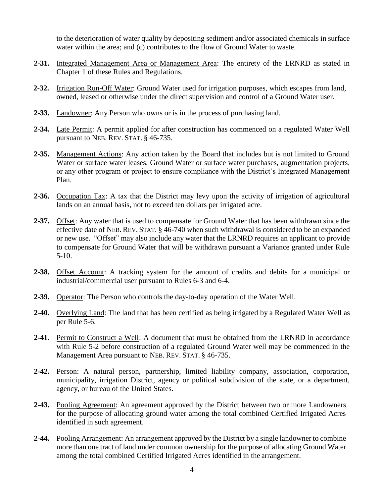to the deterioration of water quality by depositing sediment and/or associated chemicals in surface water within the area; and (c) contributes to the flow of Ground Water to waste.

- **2-31.** Integrated Management Area or Management Area: The entirety of the LRNRD as stated in Chapter 1 of these Rules and Regulations.
- **2-32.** Irrigation Run-Off Water: Ground Water used for irrigation purposes, which escapes from land, owned, leased or otherwise under the direct supervision and control of a Ground Water user.
- **2-33.** Landowner: Any Person who owns or is in the process of purchasing land.
- **2-34.** Late Permit: A permit applied for after construction has commenced on a regulated Water Well pursuant to NEB. REV. STAT. § 46-735.
- **2-35.** Management Actions: Any action taken by the Board that includes but is not limited to Ground Water or surface water leases, Ground Water or surface water purchases, augmentation projects, or any other program or project to ensure compliance with the District's Integrated Management Plan.
- **2-36.** Occupation Tax: A tax that the District may levy upon the activity of irrigation of agricultural lands on an annual basis, not to exceed ten dollars per irrigated acre.
- **2-37.** Offset: Any water that is used to compensate for Ground Water that has been withdrawn since the effective date of NEB. REV. STAT. § 46-740 when such withdrawal is considered to be an expanded or new use. "Offset" may also include any water that the LRNRD requires an applicant to provide to compensate for Ground Water that will be withdrawn pursuant a Variance granted under Rule 5-10.
- **2-38.** Offset Account: A tracking system for the amount of credits and debits for a municipal or industrial/commercial user pursuant to Rules 6-3 and 6-4.
- **2-39.** Operator: The Person who controls the day-to-day operation of the Water Well.
- **2-40.** Overlying Land: The land that has been certified as being irrigated by a Regulated Water Well as per Rule 5-6.
- **2-41.** Permit to Construct a Well: A document that must be obtained from the LRNRD in accordance with Rule 5-2 before construction of a regulated Ground Water well may be commenced in the Management Area pursuant to NEB. REV. STAT. § 46-735.
- **2-42.** Person: A natural person, partnership, limited liability company, association, corporation, municipality, irrigation District, agency or political subdivision of the state, or a department, agency, or bureau of the United States.
- **2-43.** Pooling Agreement: An agreement approved by the District between two or more Landowners for the purpose of allocating ground water among the total combined Certified Irrigated Acres identified in such agreement.
- **2-44.** Pooling Arrangement: An arrangement approved by the District by a single landowner to combine more than one tract of land under common ownership for the purpose of allocating Ground Water among the total combined Certified Irrigated Acres identified in the arrangement.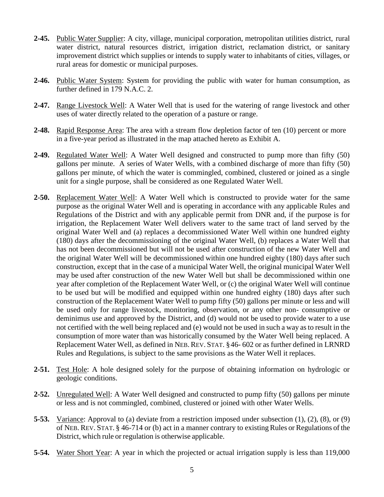- **2-45.** Public Water Supplier: A city, village, municipal corporation, metropolitan utilities district, rural water district, natural resources district, irrigation district, reclamation district, or sanitary improvement district which supplies or intends to supply water to inhabitants of cities, villages, or rural areas for domestic or municipal purposes.
- **2-46.** Public Water System: System for providing the public with water for human consumption, as further defined in 179 N.A.C. 2.
- **2-47.** Range Livestock Well: A Water Well that is used for the watering of range livestock and other uses of water directly related to the operation of a pasture or range.
- **2-48.** Rapid Response Area: The area with a stream flow depletion factor of ten (10) percent or more in a five-year period as illustrated in the map attached hereto as Exhibit A.
- **2-49.** Regulated Water Well: A Water Well designed and constructed to pump more than fifty (50) gallons per minute. A series of Water Wells, with a combined discharge of more than fifty (50) gallons per minute, of which the water is commingled, combined, clustered or joined as a single unit for a single purpose, shall be considered as one Regulated Water Well.
- **2-50.** Replacement Water Well: A Water Well which is constructed to provide water for the same purpose as the original Water Well and is operating in accordance with any applicable Rules and Regulations of the District and with any applicable permit from DNR and, if the purpose is for irrigation, the Replacement Water Well delivers water to the same tract of land served by the original Water Well and (a) replaces a decommissioned Water Well within one hundred eighty (180) days after the decommissioning of the original Water Well, (b) replaces a Water Well that has not been decommissioned but will not be used after construction of the new Water Well and the original Water Well will be decommissioned within one hundred eighty (180) days after such construction, except that in the case of a municipal Water Well, the original municipal Water Well may be used after construction of the new Water Well but shall be decommissioned within one year after completion of the Replacement Water Well, or (c) the original Water Well will continue to be used but will be modified and equipped within one hundred eighty (180) days after such construction of the Replacement Water Well to pump fifty (50) gallons per minute or less and will be used only for range livestock, monitoring, observation, or any other non- consumptive or deminimus use and approved by the District, and (d) would not be used to provide water to a use not certified with the well being replaced and (e) would not be used in such a way asto result in the consumption of more water than was historically consumed by the Water Well being replaced. A Replacement Water Well, as defined in NEB. REV. STAT. §46- 602 or as further defined in LRNRD Rules and Regulations, is subject to the same provisions as the Water Well it replaces.
- **2-51.** Test Hole: A hole designed solely for the purpose of obtaining information on hydrologic or geologic conditions.
- **2-52.** Unregulated Well: A Water Well designed and constructed to pump fifty (50) gallons per minute or less and is not commingled, combined, clustered or joined with other Water Wells.
- **5-53.** Variance: Approval to (a) deviate from a restriction imposed under subsection (1), (2), (8), or (9) of NEB. REV. STAT. § 46-714 or (b) act in a manner contrary to existing Rules or Regulations of the District, which rule or regulation is otherwise applicable.
- **5-54.** Water Short Year: A year in which the projected or actual irrigation supply is less than 119,000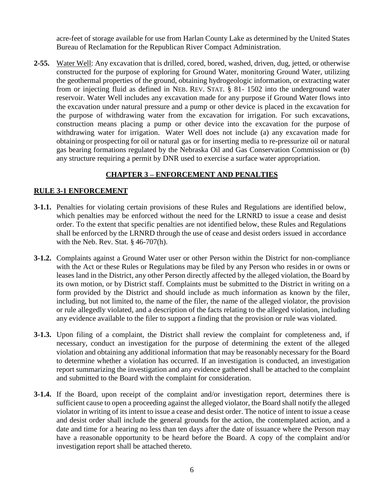acre-feet of storage available for use from Harlan County Lake as determined by the United States Bureau of Reclamation for the Republican River Compact Administration.

**2-55.** Water Well: Any excavation that is drilled, cored, bored, washed, driven, dug, jetted, or otherwise constructed for the purpose of exploring for Ground Water, monitoring Ground Water, utilizing the geothermal properties of the ground, obtaining hydrogeologic information, or extracting water from or injecting fluid as defined in NEB. REV. STAT. § 81- 1502 into the underground water reservoir. Water Well includes any excavation made for any purpose if Ground Water flows into the excavation under natural pressure and a pump or other device is placed in the excavation for the purpose of withdrawing water from the excavation for irrigation. For such excavations, construction means placing a pump or other device into the excavation for the purpose of withdrawing water for irrigation. Water Well does not include (a) any excavation made for obtaining or prospecting for oil or natural gas or for inserting media to re-pressurize oil or natural gas bearing formations regulated by the Nebraska Oil and Gas Conservation Commission or (b) any structure requiring a permit by DNR used to exercise a surface water appropriation.

### **CHAPTER 3 – ENFORCEMENT AND PENALTIES**

### **RULE 3-1 ENFORCEMENT**

- **3-1.1.** Penalties for violating certain provisions of these Rules and Regulations are identified below, which penalties may be enforced without the need for the LRNRD to issue a cease and desist order. To the extent that specific penalties are not identified below, these Rules and Regulations shall be enforced by the LRNRD through the use of cease and desist orders issued in accordance with the Neb. Rev. Stat. § 46-707(h).
- **3-1.2.** Complaints against a Ground Water user or other Person within the District for non-compliance with the Act or these Rules or Regulations may be filed by any Person who resides in or owns or leases land in the District, any other Person directly affected by the alleged violation, the Board by its own motion, or by District staff. Complaints must be submitted to the District in writing on a form provided by the District and should include as much information as known by the filer, including, but not limited to, the name of the filer, the name of the alleged violator, the provision or rule allegedly violated, and a description of the facts relating to the alleged violation, including any evidence available to the filer to support a finding that the provision or rule was violated.
- **3-1.3.** Upon filing of a complaint, the District shall review the complaint for completeness and, if necessary, conduct an investigation for the purpose of determining the extent of the alleged violation and obtaining any additional information that may be reasonably necessary for the Board to determine whether a violation has occurred. If an investigation is conducted, an investigation report summarizing the investigation and any evidence gathered shall be attached to the complaint and submitted to the Board with the complaint for consideration.
- **3-1.4.** If the Board, upon receipt of the complaint and/or investigation report, determines there is sufficient cause to open a proceeding against the alleged violator, the Board shall notify the alleged violator in writing of its intent to issue a cease and desist order. The notice of intent to issue a cease and desist order shall include the general grounds for the action, the contemplated action, and a date and time for a hearing no less than ten days after the date of issuance where the Person may have a reasonable opportunity to be heard before the Board. A copy of the complaint and/or investigation report shall be attached thereto.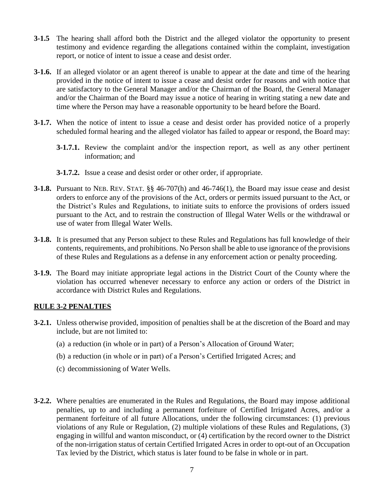- **3-1.5** The hearing shall afford both the District and the alleged violator the opportunity to present testimony and evidence regarding the allegations contained within the complaint, investigation report, or notice of intent to issue a cease and desist order.
- **3-1.6.** If an alleged violator or an agent thereof is unable to appear at the date and time of the hearing provided in the notice of intent to issue a cease and desist order for reasons and with notice that are satisfactory to the General Manager and/or the Chairman of the Board, the General Manager and/or the Chairman of the Board may issue a notice of hearing in writing stating a new date and time where the Person may have a reasonable opportunity to be heard before the Board.
- **3-1.7.** When the notice of intent to issue a cease and desist order has provided notice of a properly scheduled formal hearing and the alleged violator has failed to appear or respond, the Board may:
	- **3-1.7.1.** Review the complaint and/or the inspection report, as well as any other pertinent information; and
	- **3-1.7.2.** Issue a cease and desist order or other order, if appropriate.
- **3-1.8.** Pursuant to NEB. REV. STAT. §§ 46-707(h) and 46-746(1), the Board may issue cease and desist orders to enforce any of the provisions of the Act, orders or permits issued pursuant to the Act, or the District's Rules and Regulations, to initiate suits to enforce the provisions of orders issued pursuant to the Act, and to restrain the construction of Illegal Water Wells or the withdrawal or use of water from Illegal Water Wells.
- **3-1.8.** It is presumed that any Person subject to these Rules and Regulations has full knowledge of their contents, requirements, and prohibitions. No Person shall be able to use ignorance of the provisions of these Rules and Regulations as a defense in any enforcement action or penalty proceeding.
- **3-1.9.** The Board may initiate appropriate legal actions in the District Court of the County where the violation has occurred whenever necessary to enforce any action or orders of the District in accordance with District Rules and Regulations.

#### **RULE 3-2 PENALTIES**

- **3-2.1.** Unless otherwise provided, imposition of penalties shall be at the discretion of the Board and may include, but are not limited to:
	- (a) a reduction (in whole or in part) of a Person's Allocation of Ground Water;
	- (b) a reduction (in whole or in part) of a Person's Certified Irrigated Acres; and
	- (c) decommissioning of Water Wells.
- **3-2.2.** Where penalties are enumerated in the Rules and Regulations, the Board may impose additional penalties, up to and including a permanent forfeiture of Certified Irrigated Acres, and/or a permanent forfeiture of all future Allocations, under the following circumstances: (1) previous violations of any Rule or Regulation, (2) multiple violations of these Rules and Regulations, (3) engaging in willful and wanton misconduct, or (4) certification by the record owner to the District of the non-irrigation status of certain Certified Irrigated Acres in order to opt-out of an Occupation Tax levied by the District, which status is later found to be false in whole or in part.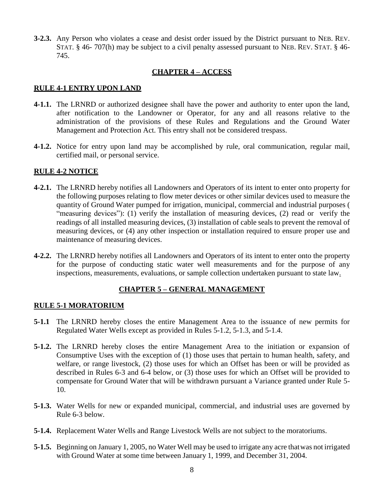**3-2.3.** Any Person who violates a cease and desist order issued by the District pursuant to NEB. REV. STAT. § 46- 707(h) may be subject to a civil penalty assessed pursuant to NEB. REV. STAT. § 46- 745.

### **CHAPTER 4 – ACCESS**

#### **RULE 4-1 ENTRY UPON LAND**

- **4-1.1.** The LRNRD or authorized designee shall have the power and authority to enter upon the land, after notification to the Landowner or Operator, for any and all reasons relative to the administration of the provisions of these Rules and Regulations and the Ground Water Management and Protection Act. This entry shall not be considered trespass.
- **4-1.2.** Notice for entry upon land may be accomplished by rule, oral communication, regular mail, certified mail, or personal service.

### **RULE 4-2 NOTICE**

- **4-2.1.** The LRNRD hereby notifies all Landowners and Operators of its intent to enter onto property for the following purposes relating to flow meter devices or other similar devices used to measure the quantity of Ground Water pumped for irrigation, municipal, commercial and industrial purposes ( "measuring devices"): (1) verify the installation of measuring devices, (2) read or verify the readings of all installed measuring devices, (3) installation of cable seals to prevent the removal of measuring devices, or (4) any other inspection or installation required to ensure proper use and maintenance of measuring devices.
- **4-2.2.** The LRNRD hereby notifies all Landowners and Operators of its intent to enter onto the property for the purpose of conducting static water well measurements and for the purpose of any inspections, measurements, evaluations, or sample collection undertaken pursuant to state law.

#### **CHAPTER 5 – GENERAL MANAGEMENT**

#### **RULE 5-1 MORATORIUM**

- **5-1.1** The LRNRD hereby closes the entire Management Area to the issuance of new permits for Regulated Water Wells except as provided in Rules 5-1.2, 5-1.3, and 5-1.4.
- **5-1.2.** The LRNRD hereby closes the entire Management Area to the initiation or expansion of Consumptive Uses with the exception of (1) those uses that pertain to human health, safety, and welfare, or range livestock, (2) those uses for which an Offset has been or will be provided as described in Rules 6-3 and 6-4 below, or (3) those uses for which an Offset will be provided to compensate for Ground Water that will be withdrawn pursuant a Variance granted under Rule 5- 10.
- **5-1.3.** Water Wells for new or expanded municipal, commercial, and industrial uses are governed by Rule 6-3 below.
- **5-1.4.** Replacement Water Wells and Range Livestock Wells are not subject to the moratoriums.
- **5-1.5.** Beginning on January 1, 2005, no Water Well may be used to irrigate any acre thatwas not irrigated with Ground Water at some time between January 1, 1999, and December 31, 2004.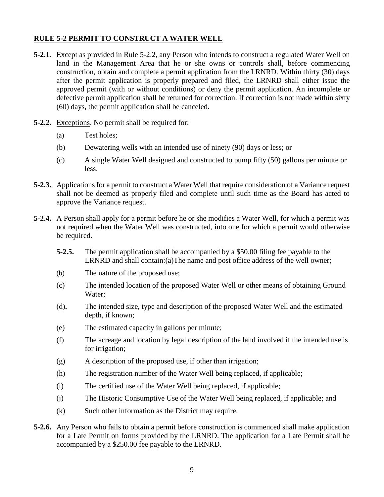# **RULE 5-2 PERMIT TO CONSTRUCT A WATER WELL**

- **5-2.1.** Except as provided in Rule 5-2.2, any Person who intends to construct a regulated Water Well on land in the Management Area that he or she owns or controls shall, before commencing construction, obtain and complete a permit application from the LRNRD. Within thirty (30) days after the permit application is properly prepared and filed, the LRNRD shall either issue the approved permit (with or without conditions) or deny the permit application. An incomplete or defective permit application shall be returned for correction. If correction is not made within sixty (60) days, the permit application shall be canceled.
- **5-2.2.** Exceptions. No permit shall be required for:
	- (a) Test holes;
	- (b) Dewatering wells with an intended use of ninety (90) days or less; or
	- (c) A single Water Well designed and constructed to pump fifty (50) gallons per minute or less.
- **5-2.3.** Applications for a permit to construct a Water Well that require consideration of a Variance request shall not be deemed as properly filed and complete until such time as the Board has acted to approve the Variance request.
- **5-2.4.** A Person shall apply for a permit before he or she modifies a Water Well, for which a permit was not required when the Water Well was constructed, into one for which a permit would otherwise be required.
	- **5-2.5.** The permit application shall be accompanied by a \$50.00 filing fee payable to the LRNRD and shall contain:(a)The name and post office address of the well owner;
	- (b) The nature of the proposed use;
	- (c) The intended location of the proposed Water Well or other means of obtaining Ground Water;
	- (d)**.** The intended size, type and description of the proposed Water Well and the estimated depth, if known;
	- (e) The estimated capacity in gallons per minute;
	- (f) The acreage and location by legal description of the land involved if the intended use is for irrigation;
	- (g) A description of the proposed use, if other than irrigation;
	- (h) The registration number of the Water Well being replaced, if applicable;
	- (i) The certified use of the Water Well being replaced, if applicable;
	- (j) The Historic Consumptive Use of the Water Well being replaced, if applicable; and
	- (k) Such other information as the District may require.
- **5-2.6.** Any Person who fails to obtain a permit before construction is commenced shall make application for a Late Permit on forms provided by the LRNRD. The application for a Late Permit shall be accompanied by a \$250.00 fee payable to the LRNRD.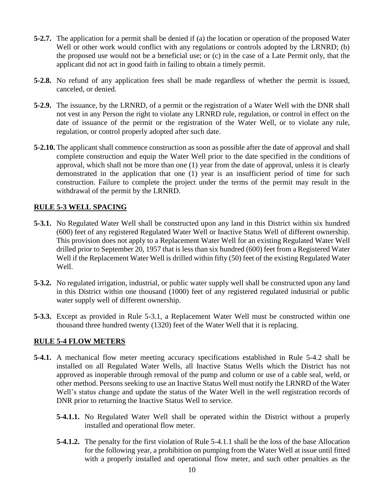- **5-2.7.** The application for a permit shall be denied if (a) the location or operation of the proposed Water Well or other work would conflict with any regulations or controls adopted by the LRNRD; (b) the proposed use would not be a beneficial use; or (c) in the case of a Late Permit only, that the applicant did not act in good faith in failing to obtain a timely permit.
- **5-2.8.** No refund of any application fees shall be made regardless of whether the permit is issued, canceled, or denied.
- **5-2.9.** The issuance, by the LRNRD, of a permit or the registration of a Water Well with the DNR shall not vest in any Person the right to violate any LRNRD rule, regulation, or control in effect on the date of issuance of the permit or the registration of the Water Well, or to violate any rule, regulation, or control properly adopted after such date.
- **5-2.10.** The applicant shall commence construction as soon as possible after the date of approval and shall complete construction and equip the Water Well prior to the date specified in the conditions of approval, which shall not be more than one (1) year from the date of approval, unless it is clearly demonstrated in the application that one (1) year is an insufficient period of time for such construction. Failure to complete the project under the terms of the permit may result in the withdrawal of the permit by the LRNRD.

# **RULE 5-3 WELL SPACING**

- **5-3.1.** No Regulated Water Well shall be constructed upon any land in this District within six hundred (600) feet of any registered Regulated Water Well or Inactive Status Well of different ownership. This provision does not apply to a Replacement Water Well for an existing Regulated Water Well drilled prior to September 20, 1957 that is less than six hundred (600) feet from a Registered Water Well if the Replacement Water Well is drilled within fifty (50) feet of the existing Regulated Water Well.
- **5-3.2.** No regulated irrigation, industrial, or public water supply well shall be constructed upon any land in this District within one thousand (1000) feet of any registered regulated industrial or public water supply well of different ownership.
- **5-3.3.** Except as provided in Rule 5-3.1, a Replacement Water Well must be constructed within one thousand three hundred twenty (1320) feet of the Water Well that it is replacing.

## **RULE 5-4 FLOW METERS**

- **5-4.1.** A mechanical flow meter meeting accuracy specifications established in Rule 5-4.2 shall be installed on all Regulated Water Wells, all Inactive Status Wells which the District has not approved as inoperable through removal of the pump and column or use of a cable seal, weld, or other method. Persons seeking to use an Inactive Status Well must notify the LRNRD of the Water Well's status change and update the status of the Water Well in the well registration records of DNR prior to returning the Inactive Status Well to service.
	- **5-4.1.1.** No Regulated Water Well shall be operated within the District without a properly installed and operational flow meter.
	- **5-4.1.2.** The penalty for the first violation of Rule 5-4.1.1 shall be the loss of the base Allocation for the following year, a prohibition on pumping from the Water Well at issue until fitted with a properly installed and operational flow meter, and such other penalties as the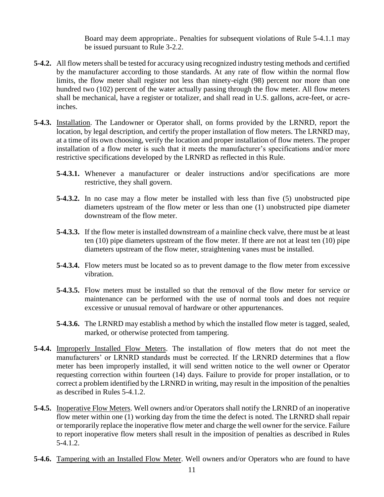Board may deem appropriate.. Penalties for subsequent violations of Rule 5-4.1.1 may be issued pursuant to Rule 3-2.2.

- **5-4.2.** All flow meters shall be tested for accuracy using recognized industry testing methods and certified by the manufacturer according to those standards. At any rate of flow within the normal flow limits, the flow meter shall register not less than ninety-eight (98) percent nor more than one hundred two (102) percent of the water actually passing through the flow meter. All flow meters shall be mechanical, have a register or totalizer, and shall read in U.S. gallons, acre-feet, or acreinches.
- **5-4.3.** Installation. The Landowner or Operator shall, on forms provided by the LRNRD, report the location, by legal description, and certify the proper installation of flow meters. The LRNRD may, at a time of its own choosing, verify the location and proper installation of flow meters. The proper installation of a flow meter is such that it meets the manufacturer's specifications and/or more restrictive specifications developed by the LRNRD as reflected in this Rule.
	- **5-4.3.1.** Whenever a manufacturer or dealer instructions and/or specifications are more restrictive, they shall govern.
	- **5-4.3.2.** In no case may a flow meter be installed with less than five (5) unobstructed pipe diameters upstream of the flow meter or less than one (1) unobstructed pipe diameter downstream of the flow meter.
	- **5-4.3.3.** If the flow meter is installed downstream of a mainline check valve, there must be at least ten (10) pipe diameters upstream of the flow meter. If there are not at least ten (10) pipe diameters upstream of the flow meter, straightening vanes must be installed.
	- **5-4.3.4.** Flow meters must be located so as to prevent damage to the flow meter from excessive vibration.
	- **5-4.3.5.** Flow meters must be installed so that the removal of the flow meter for service or maintenance can be performed with the use of normal tools and does not require excessive or unusual removal of hardware or other appurtenances.
	- **5-4.3.6.** The LRNRD may establish a method by which the installed flow meter is tagged, sealed, marked, or otherwise protected from tampering.
- **5-4.4.** Improperly Installed Flow Meters. The installation of flow meters that do not meet the manufacturers' or LRNRD standards must be corrected. If the LRNRD determines that a flow meter has been improperly installed, it will send written notice to the well owner or Operator requesting correction within fourteen (14) days. Failure to provide for proper installation, or to correct a problem identified by the LRNRD in writing, may result in the imposition of the penalties as described in Rules 5-4.1.2.
- **5-4.5.** Inoperative Flow Meters. Well owners and/or Operators shall notify the LRNRD of an inoperative flow meter within one (1) working day from the time the defect is noted. The LRNRD shall repair or temporarily replace the inoperative flow meter and charge the well owner for the service. Failure to report inoperative flow meters shall result in the imposition of penalties as described in Rules 5-4.1.2.
- **5-4.6.** Tampering with an Installed Flow Meter. Well owners and/or Operators who are found to have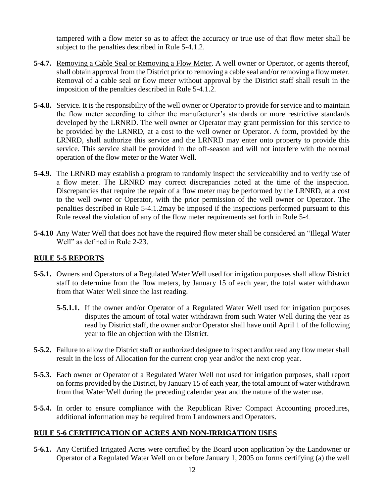tampered with a flow meter so as to affect the accuracy or true use of that flow meter shall be subject to the penalties described in Rule 5-4.1.2.

- **5-4.7.** Removing a Cable Seal or Removing a Flow Meter. A well owner or Operator, or agents thereof, shall obtain approval from the District prior to removing a cable seal and/or removing a flow meter. Removal of a cable seal or flow meter without approval by the District staff shall result in the imposition of the penalties described in Rule 5-4.1.2.
- **5-4.8.** Service. It is the responsibility of the well owner or Operator to provide for service and to maintain the flow meter according to either the manufacturer's standards or more restrictive standards developed by the LRNRD. The well owner or Operator may grant permission for this service to be provided by the LRNRD, at a cost to the well owner or Operator. A form, provided by the LRNRD, shall authorize this service and the LRNRD may enter onto property to provide this service. This service shall be provided in the off-season and will not interfere with the normal operation of the flow meter or the Water Well.
- **5-4.9.** The LRNRD may establish a program to randomly inspect the serviceability and to verify use of a flow meter. The LRNRD may correct discrepancies noted at the time of the inspection. Discrepancies that require the repair of a flow meter may be performed by the LRNRD, at a cost to the well owner or Operator, with the prior permission of the well owner or Operator. The penalties described in Rule 5-4.1.2may be imposed if the inspections performed pursuant to this Rule reveal the violation of any of the flow meter requirements set forth in Rule 5-4.
- **5-4.10** Any Water Well that does not have the required flow meter shall be considered an "Illegal Water Well" as defined in Rule 2-23.

## **RULE 5-5 REPORTS**

- **5-5.1.** Owners and Operators of a Regulated Water Well used for irrigation purposes shall allow District staff to determine from the flow meters, by January 15 of each year, the total water withdrawn from that Water Well since the last reading.
	- **5-5.1.1.** If the owner and/or Operator of a Regulated Water Well used for irrigation purposes disputes the amount of total water withdrawn from such Water Well during the year as read by District staff, the owner and/or Operator shall have until April 1 of the following year to file an objection with the District.
- **5-5.2.** Failure to allow the District staff or authorized designee to inspect and/or read any flow meter shall result in the loss of Allocation for the current crop year and/or the next crop year.
- **5-5.3.** Each owner or Operator of a Regulated Water Well not used for irrigation purposes, shall report on forms provided by the District, by January 15 of each year, the total amount of water withdrawn from that Water Well during the preceding calendar year and the nature of the water use.
- **5-5.4.** In order to ensure compliance with the Republican River Compact Accounting procedures, additional information may be required from Landowners and Operators.

## **RULE 5-6 CERTIFICATION OF ACRES AND NON-IRRIGATION USES**

**5-6.1.** Any Certified Irrigated Acres were certified by the Board upon application by the Landowner or Operator of a Regulated Water Well on or before January 1, 2005 on forms certifying (a) the well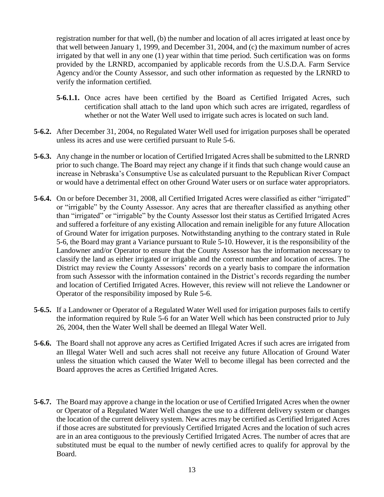registration number for that well, (b) the number and location of all acres irrigated at least once by that well between January 1, 1999, and December 31, 2004, and (c) the maximum number of acres irrigated by that well in any one (1) year within that time period. Such certification was on forms provided by the LRNRD, accompanied by applicable records from the U.S.D.A. Farm Service Agency and/or the County Assessor, and such other information as requested by the LRNRD to verify the information certified.

- **5-6.1.1.** Once acres have been certified by the Board as Certified Irrigated Acres, such certification shall attach to the land upon which such acres are irrigated, regardless of whether or not the Water Well used to irrigate such acres is located on such land.
- **5-6.2.** After December 31, 2004, no Regulated Water Well used for irrigation purposes shall be operated unless its acres and use were certified pursuant to Rule 5-6.
- **5-6.3.** Any change in the number or location of Certified Irrigated Acres shall be submitted to the LRNRD prior to such change. The Board may reject any change if it finds that such change would cause an increase in Nebraska's Consumptive Use as calculated pursuant to the Republican River Compact or would have a detrimental effect on other Ground Water users or on surface water appropriators.
- **5-6.4.** On or before December 31, 2008, all Certified Irrigated Acres were classified as either "irrigated" or "irrigable" by the County Assessor. Any acres that are thereafter classified as anything other than "irrigated" or "irrigable" by the County Assessor lost their status as Certified Irrigated Acres and suffered a forfeiture of any existing Allocation and remain ineligible for any future Allocation of Ground Water for irrigation purposes. Notwithstanding anything to the contrary stated in Rule 5-6, the Board may grant a Variance pursuant to Rule 5-10. However, it is the responsibility of the Landowner and/or Operator to ensure that the County Assessor has the information necessary to classify the land as either irrigated or irrigable and the correct number and location of acres. The District may review the County Assessors' records on a yearly basis to compare the information from such Assessor with the information contained in the District's records regarding the number and location of Certified Irrigated Acres. However, this review will not relieve the Landowner or Operator of the responsibility imposed by Rule 5-6.
- **5-6.5.** If a Landowner or Operator of a Regulated Water Well used for irrigation purposes fails to certify the information required by Rule 5-6 for an Water Well which has been constructed prior to July 26, 2004, then the Water Well shall be deemed an Illegal Water Well.
- **5-6.6.** The Board shall not approve any acres as Certified Irrigated Acres if such acres are irrigated from an Illegal Water Well and such acres shall not receive any future Allocation of Ground Water unless the situation which caused the Water Well to become illegal has been corrected and the Board approves the acres as Certified Irrigated Acres.
- **5-6.7.** The Board may approve a change in the location or use of Certified Irrigated Acres when the owner or Operator of a Regulated Water Well changes the use to a different delivery system or changes the location of the current delivery system. New acres may be certified as Certified Irrigated Acres if those acres are substituted for previously Certified Irrigated Acres and the location of such acres are in an area contiguous to the previously Certified Irrigated Acres. The number of acres that are substituted must be equal to the number of newly certified acres to qualify for approval by the Board.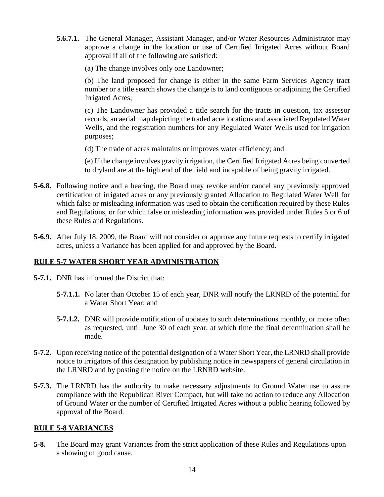**5.6.7.1.** The General Manager, Assistant Manager, and/or Water Resources Administrator may approve a change in the location or use of Certified Irrigated Acres without Board approval if all of the following are satisfied:

(a) The change involves only one Landowner;

(b) The land proposed for change is either in the same Farm Services Agency tract number or a title search shows the change is to land contiguous or adjoining the Certified Irrigated Acres;

(c) The Landowner has provided a title search for the tracts in question, tax assessor records, an aerial map depicting the traded acre locations and associated Regulated Water Wells, and the registration numbers for any Regulated Water Wells used for irrigation purposes;

(d) The trade of acres maintains or improves water efficiency; and

(e) If the change involves gravity irrigation, the Certified Irrigated Acres being converted to dryland are at the high end of the field and incapable of being gravity irrigated.

- **5-6.8.** Following notice and a hearing, the Board may revoke and/or cancel any previously approved certification of irrigated acres or any previously granted Allocation to Regulated Water Well for which false or misleading information was used to obtain the certification required by these Rules and Regulations, or for which false or misleading information was provided under Rules 5 or 6 of these Rules and Regulations.
- **5-6.9.** After July 18, 2009, the Board will not consider or approve any future requests to certify irrigated acres, unless a Variance has been applied for and approved by the Board.

# **RULE 5-7 WATER SHORT YEAR ADMINISTRATION**

- **5-7.1.** DNR has informed the District that:
	- **5-7.1.1.** No later than October 15 of each year, DNR will notify the LRNRD of the potential for a Water Short Year; and
	- **5-7.1.2.** DNR will provide notification of updates to such determinations monthly, or more often as requested, until June 30 of each year, at which time the final determination shall be made.
- **5-7.2.** Upon receiving notice of the potential designation of a Water Short Year, the LRNRD shall provide notice to irrigators of this designation by publishing notice in newspapers of general circulation in the LRNRD and by posting the notice on the LRNRD website.
- **5-7.3.** The LRNRD has the authority to make necessary adjustments to Ground Water use to assure compliance with the Republican River Compact, but will take no action to reduce any Allocation of Ground Water or the number of Certified Irrigated Acres without a public hearing followed by approval of the Board.

## **RULE 5-8 VARIANCES**

**5-8.** The Board may grant Variances from the strict application of these Rules and Regulations upon a showing of good cause.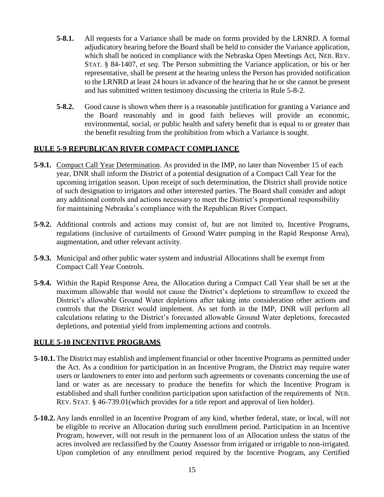- **5-8.1.** All requests for a Variance shall be made on forms provided by the LRNRD. A formal adjudicatory hearing before the Board shall be held to consider the Variance application, which shall be noticed in compliance with the Nebraska Open Meetings Act, NEB. REV. STAT. § 84-1407, *et seq*. The Person submitting the Variance application, or his or her representative, shall be present at the hearing unless the Person has provided notification to the LRNRD at least 24 hours in advance of the hearing that he or she cannot be present and has submitted written testimony discussing the criteria in Rule 5-8-2.
- **5-8.2.** Good cause is shown when there is a reasonable justification for granting a Variance and the Board reasonably and in good faith believes will provide an economic, environmental, social, or public health and safety benefit that is equal to or greater than the benefit resulting from the prohibition from which a Variance is sought.

### **RULE 5-9 REPUBLICAN RIVER COMPACT COMPLIANCE**

- **5-9.1.** Compact Call Year Determination. As provided in the IMP, no later than November 15 of each year, DNR shall inform the District of a potential designation of a Compact Call Year for the upcoming irrigation season. Upon receipt of such determination, the District shall provide notice of such designation to irrigators and other interested parties. The Board shall consider and adopt any additional controls and actions necessary to meet the District's proportional responsibility for maintaining Nebraska's compliance with the Republican River Compact.
- **5-9.2.** Additional controls and actions may consist of, but are not limited to, Incentive Programs, regulations (inclusive of curtailments of Ground Water pumping in the Rapid Response Area), augmentation, and other relevant activity.
- **5-9.3.** Municipal and other public water system and industrial Allocations shall be exempt from Compact Call Year Controls.
- **5-9.4.** Within the Rapid Response Area, the Allocation during a Compact Call Year shall be set at the maximum allowable that would not cause the District's depletions to streamflow to exceed the District's allowable Ground Water depletions after taking into consideration other actions and controls that the District would implement. As set forth in the IMP, DNR will perform all calculations relating to the District's forecasted allowable Ground Water depletions, forecasted depletions, and potential yield from implementing actions and controls.

#### **RULE 5-10 INCENTIVE PROGRAMS**

- **5-10.1.** The District may establish and implement financial or other Incentive Programs as permitted under the Act. As a condition for participation in an Incentive Program, the District may require water users or landowners to enter into and perform such agreements or covenants concerning the use of land or water as are necessary to produce the benefits for which the Incentive Program is established and shall further condition participation upon satisfaction of the requirements of NEB. REV. STAT. § 46-739.01(which provides for a title report and approval of lien holder).
- **5-10.2.** Any lands enrolled in an Incentive Program of any kind, whether federal, state, or local, will not be eligible to receive an Allocation during such enrollment period. Participation in an Incentive Program, however, will not result in the permanent loss of an Allocation unless the status of the acres involved are reclassified by the County Assessor from irrigated or irrigable to non-irrigated. Upon completion of any enrollment period required by the Incentive Program, any Certified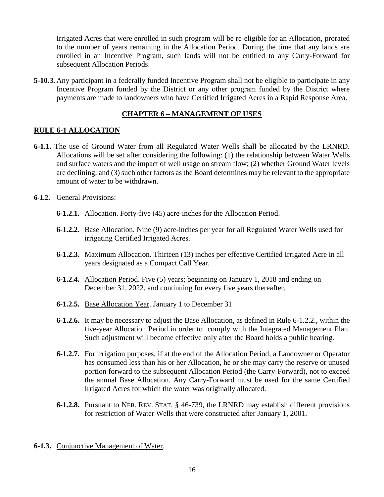Irrigated Acres that were enrolled in such program will be re-eligible for an Allocation, prorated to the number of years remaining in the Allocation Period. During the time that any lands are enrolled in an Incentive Program, such lands will not be entitled to any Carry-Forward for subsequent Allocation Periods.

**5-10.3.** Any participant in a federally funded Incentive Program shall not be eligible to participate in any Incentive Program funded by the District or any other program funded by the District where payments are made to landowners who have Certified Irrigated Acres in a Rapid Response Area.

### **CHAPTER 6 – MANAGEMENT OF USES**

### **RULE 6-1 ALLOCATION**

- **6-1.1.** The use of Ground Water from all Regulated Water Wells shall be allocated by the LRNRD. Allocations will be set after considering the following: (1) the relationship between Water Wells and surface waters and the impact of well usage on stream flow; (2) whether Ground Water levels are declining; and (3) such other factors as the Board determines may be relevant to the appropriate amount of water to be withdrawn.
- **6-1.2.** General Provisions:
	- **6-1.2.1.** Allocation. Forty-five (45) acre-inches for the Allocation Period.
	- **6-1.2.2.** Base Allocation. Nine (9) acre-inches per year for all Regulated Water Wells used for irrigating Certified Irrigated Acres.
	- **6-1.2.3.** Maximum Allocation. Thirteen (13) inches per effective Certified Irrigated Acre in all years designated as a Compact Call Year.
	- **6-1.2.4.** Allocation Period. Five (5) years; beginning on January 1, 2018 and ending on December 31, 2022, and continuing for every five years thereafter.
	- **6-1.2.5.** Base Allocation Year. January 1 to December 31
	- **6-1.2.6.** It may be necessary to adjust the Base Allocation, as defined in Rule 6-1.2.2., within the five-year Allocation Period in order to comply with the Integrated Management Plan. Such adjustment will become effective only after the Board holds a public hearing.
	- **6-1.2.7.** For irrigation purposes, if at the end of the Allocation Period, a Landowner or Operator has consumed less than his or her Allocation, he or she may carry the reserve or unused portion forward to the subsequent Allocation Period (the Carry-Forward), not to exceed the annual Base Allocation. Any Carry-Forward must be used for the same Certified Irrigated Acres for which the water was originally allocated.
	- **6-1.2.8.** Pursuant to NEB. REV. STAT. § 46-739, the LRNRD may establish different provisions for restriction of Water Wells that were constructed after January 1, 2001.
- **6-1.3.** Conjunctive Management of Water.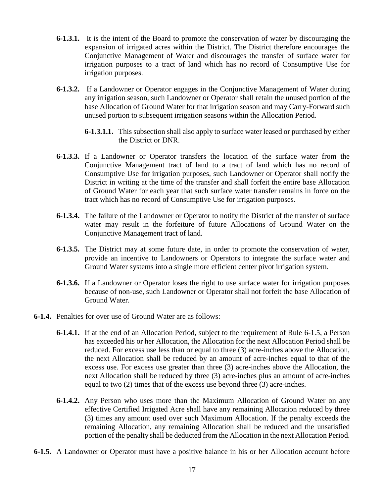- **6-1.3.1.** It is the intent of the Board to promote the conservation of water by discouraging the expansion of irrigated acres within the District. The District therefore encourages the Conjunctive Management of Water and discourages the transfer of surface water for irrigation purposes to a tract of land which has no record of Consumptive Use for irrigation purposes.
- **6-1.3.2.** If a Landowner or Operator engages in the Conjunctive Management of Water during any irrigation season, such Landowner or Operator shall retain the unused portion of the base Allocation of Ground Water for that irrigation season and may Carry-Forward such unused portion to subsequent irrigation seasons within the Allocation Period.
	- **6-1.3.1.1.** This subsection shall also apply to surface water leased or purchased by either the District or DNR.
- **6-1.3.3.** If a Landowner or Operator transfers the location of the surface water from the Conjunctive Management tract of land to a tract of land which has no record of Consumptive Use for irrigation purposes, such Landowner or Operator shall notify the District in writing at the time of the transfer and shall forfeit the entire base Allocation of Ground Water for each year that such surface water transfer remains in force on the tract which has no record of Consumptive Use for irrigation purposes.
- **6-1.3.4.** The failure of the Landowner or Operator to notify the District of the transfer of surface water may result in the forfeiture of future Allocations of Ground Water on the Conjunctive Management tract of land.
- **6-1.3.5.** The District may at some future date, in order to promote the conservation of water, provide an incentive to Landowners or Operators to integrate the surface water and Ground Water systems into a single more efficient center pivot irrigation system.
- **6-1.3.6.** If a Landowner or Operator loses the right to use surface water for irrigation purposes because of non-use, such Landowner or Operator shall not forfeit the base Allocation of Ground Water.
- **6-1.4.** Penalties for over use of Ground Water are as follows:
	- **6-1.4.1.** If at the end of an Allocation Period, subject to the requirement of Rule 6-1.5, a Person has exceeded his or her Allocation, the Allocation for the next Allocation Period shall be reduced. For excess use less than or equal to three (3) acre-inches above the Allocation, the next Allocation shall be reduced by an amount of acre-inches equal to that of the excess use. For excess use greater than three (3) acre-inches above the Allocation, the next Allocation shall be reduced by three (3) acre-inches plus an amount of acre-inches equal to two (2) times that of the excess use beyond three (3) acre-inches.
	- **6-1.4.2.** Any Person who uses more than the Maximum Allocation of Ground Water on any effective Certified Irrigated Acre shall have any remaining Allocation reduced by three (3) times any amount used over such Maximum Allocation. If the penalty exceeds the remaining Allocation, any remaining Allocation shall be reduced and the unsatisfied portion of the penalty shall be deducted from the Allocation in the next Allocation Period.
- **6-1.5.** A Landowner or Operator must have a positive balance in his or her Allocation account before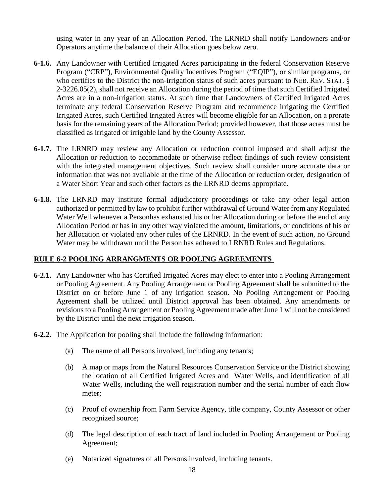using water in any year of an Allocation Period. The LRNRD shall notify Landowners and/or Operators anytime the balance of their Allocation goes below zero.

- **6-1.6.** Any Landowner with Certified Irrigated Acres participating in the federal Conservation Reserve Program ("CRP"), Environmental Quality Incentives Program ("EQIP"), or similar programs, or who certifies to the District the non-irrigation status of such acres pursuant to NEB. REV. STAT. § 2-3226.05(2), shall not receive an Allocation during the period of time that such Certified Irrigated Acres are in a non-irrigation status. At such time that Landowners of Certified Irrigated Acres terminate any federal Conservation Reserve Program and recommence irrigating the Certified Irrigated Acres, such Certified Irrigated Acres will become eligible for an Allocation, on a prorate basis for the remaining years of the Allocation Period; provided however, that those acres must be classified as irrigated or irrigable land by the County Assessor.
- **6-1.7.** The LRNRD may review any Allocation or reduction control imposed and shall adjust the Allocation or reduction to accommodate or otherwise reflect findings of such review consistent with the integrated management objectives. Such review shall consider more accurate data or information that was not available at the time of the Allocation or reduction order, designation of a Water Short Year and such other factors as the LRNRD deems appropriate.
- **6-1.8.** The LRNRD may institute formal adjudicatory proceedings or take any other legal action authorized or permitted by law to prohibit further withdrawal of Ground Water from any Regulated Water Well whenever a Personhas exhausted his or her Allocation during or before the end of any Allocation Period or has in any other way violated the amount, limitations, or conditions of his or her Allocation or violated any other rules of the LRNRD. In the event of such action, no Ground Water may be withdrawn until the Person has adhered to LRNRD Rules and Regulations.

## **RULE 6-2 POOLING ARRANGMENTS OR POOLING AGREEMENTS**

- **6-2.1.** Any Landowner who has Certified Irrigated Acres may elect to enter into a Pooling Arrangement or Pooling Agreement. Any Pooling Arrangement or Pooling Agreement shall be submitted to the District on or before June 1 of any irrigation season. No Pooling Arrangement or Pooling Agreement shall be utilized until District approval has been obtained. Any amendments or revisions to a Pooling Arrangement or Pooling Agreement made after June 1 will not be considered by the District until the next irrigation season.
- **6-2.2.** The Application for pooling shall include the following information:
	- (a) The name of all Persons involved, including any tenants;
	- (b) A map or maps from the Natural Resources Conservation Service or the District showing the location of all Certified Irrigated Acres and Water Wells, and identification of all Water Wells, including the well registration number and the serial number of each flow meter;
	- (c) Proof of ownership from Farm Service Agency, title company, County Assessor or other recognized source;
	- (d) The legal description of each tract of land included in Pooling Arrangement or Pooling Agreement;
	- (e) Notarized signatures of all Persons involved, including tenants.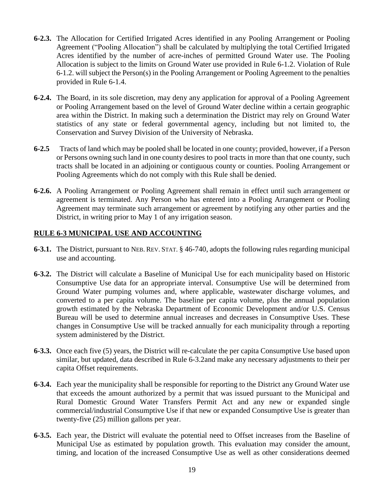- **6-2.3.** The Allocation for Certified Irrigated Acres identified in any Pooling Arrangement or Pooling Agreement ("Pooling Allocation") shall be calculated by multiplying the total Certified Irrigated Acres identified by the number of acre-inches of permitted Ground Water use. The Pooling Allocation is subject to the limits on Ground Water use provided in Rule 6-1.2. Violation of Rule 6-1.2. will subject the Person(s) in the Pooling Arrangement or Pooling Agreement to the penalties provided in Rule 6-1.4.
- **6-2.4.** The Board, in its sole discretion, may deny any application for approval of a Pooling Agreement or Pooling Arrangement based on the level of Ground Water decline within a certain geographic area within the District. In making such a determination the District may rely on Ground Water statistics of any state or federal governmental agency, including but not limited to, the Conservation and Survey Division of the University of Nebraska.
- **6-2.5** Tracts of land which may be pooled shall be located in one county; provided, however, if a Person or Persons owning such land in one county desires to pool tracts in more than that one county, such tracts shall be located in an adjoining or contiguous county or counties. Pooling Arrangement or Pooling Agreements which do not comply with this Rule shall be denied.
- **6-2.6.** A Pooling Arrangement or Pooling Agreement shall remain in effect until such arrangement or agreement is terminated. Any Person who has entered into a Pooling Arrangement or Pooling Agreement may terminate such arrangement or agreement by notifying any other parties and the District, in writing prior to May 1 of any irrigation season.

# **RULE 6-3 MUNICIPAL USE AND ACCOUNTING**

- **6-3.1.** The District, pursuant to NEB. REV. STAT. § 46-740, adopts the following rules regarding municipal use and accounting.
- **6-3.2.** The District will calculate a Baseline of Municipal Use for each municipality based on Historic Consumptive Use data for an appropriate interval. Consumptive Use will be determined from Ground Water pumping volumes and, where applicable, wastewater discharge volumes, and converted to a per capita volume. The baseline per capita volume, plus the annual population growth estimated by the Nebraska Department of Economic Development and/or U.S. Census Bureau will be used to determine annual increases and decreases in Consumptive Uses. These changes in Consumptive Use will be tracked annually for each municipality through a reporting system administered by the District.
- **6-3.3.** Once each five (5) years, the District will re-calculate the per capita Consumptive Use based upon similar, but updated, data described in Rule 6-3.2and make any necessary adjustments to their per capita Offset requirements.
- **6-3.4.** Each year the municipality shall be responsible for reporting to the District any Ground Water use that exceeds the amount authorized by a permit that was issued pursuant to the Municipal and Rural Domestic Ground Water Transfers Permit Act and any new or expanded single commercial/industrial Consumptive Use if that new or expanded Consumptive Use is greater than twenty-five (25) million gallons per year.
- **6-3.5.** Each year, the District will evaluate the potential need to Offset increases from the Baseline of Municipal Use as estimated by population growth. This evaluation may consider the amount, timing, and location of the increased Consumptive Use as well as other considerations deemed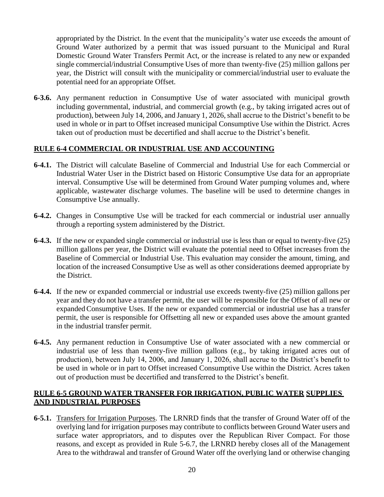appropriated by the District. In the event that the municipality's water use exceeds the amount of Ground Water authorized by a permit that was issued pursuant to the Municipal and Rural Domestic Ground Water Transfers Permit Act, or the increase is related to any new or expanded single commercial/industrial Consumptive Uses of more than twenty-five (25) million gallons per year, the District will consult with the municipality or commercial/industrial user to evaluate the potential need for an appropriate Offset.

**6-3.6.** Any permanent reduction in Consumptive Use of water associated with municipal growth including governmental, industrial, and commercial growth (e.g., by taking irrigated acres out of production), between July 14, 2006, and January 1, 2026, shall accrue to the District's benefit to be used in whole or in part to Offset increased municipal Consumptive Use within the District. Acres taken out of production must be decertified and shall accrue to the District's benefit.

## **RULE 6-4 COMMERCIAL OR INDUSTRIAL USE AND ACCOUNTING**

- **6-4.1.** The District will calculate Baseline of Commercial and Industrial Use for each Commercial or Industrial Water User in the District based on Historic Consumptive Use data for an appropriate interval. Consumptive Use will be determined from Ground Water pumping volumes and, where applicable, wastewater discharge volumes. The baseline will be used to determine changes in Consumptive Use annually.
- **6-4.2.** Changes in Consumptive Use will be tracked for each commercial or industrial user annually through a reporting system administered by the District.
- **6-4.3.** If the new or expanded single commercial or industrial use is less than or equal to twenty-five (25) million gallons per year, the District will evaluate the potential need to Offset increases from the Baseline of Commercial or Industrial Use. This evaluation may consider the amount, timing, and location of the increased Consumptive Use as well as other considerations deemed appropriate by the District.
- **6-4.4.** If the new or expanded commercial or industrial use exceeds twenty-five (25) million gallons per year and they do not have a transfer permit, the user will be responsible for the Offset of all new or expanded Consumptive Uses. If the new or expanded commercial or industrial use has a transfer permit, the user is responsible for Offsetting all new or expanded uses above the amount granted in the industrial transfer permit.
- **6-4.5.** Any permanent reduction in Consumptive Use of water associated with a new commercial or industrial use of less than twenty-five million gallons (e.g., by taking irrigated acres out of production), between July 14, 2006, and January 1, 2026, shall accrue to the District's benefit to be used in whole or in part to Offset increased Consumptive Use within the District. Acres taken out of production must be decertified and transferred to the District's benefit.

## **RULE 6-5 GROUND WATER TRANSFER FOR IRRIGATION, PUBLIC WATER SUPPLIES AND INDUSTRIAL PURPOSES**

**6-5.1.** Transfers for Irrigation Purposes. The LRNRD finds that the transfer of Ground Water off of the overlying land for irrigation purposes may contribute to conflicts between Ground Water users and surface water appropriators, and to disputes over the Republican River Compact. For those reasons, and except as provided in Rule 5-6.7, the LRNRD hereby closes all of the Management Area to the withdrawal and transfer of Ground Water off the overlying land or otherwise changing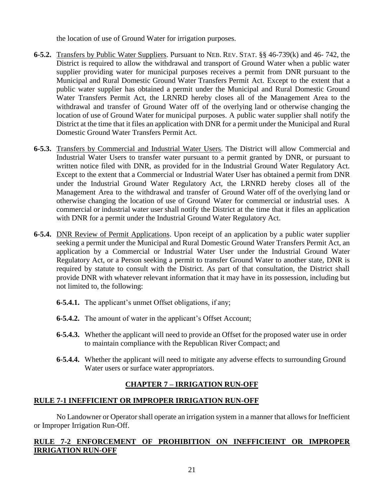the location of use of Ground Water for irrigation purposes.

- **6-5.2.** Transfers by Public Water Suppliers. Pursuant to NEB. REV. STAT. §§ 46-739(k) and 46- 742, the District is required to allow the withdrawal and transport of Ground Water when a public water supplier providing water for municipal purposes receives a permit from DNR pursuant to the Municipal and Rural Domestic Ground Water Transfers Permit Act. Except to the extent that a public water supplier has obtained a permit under the Municipal and Rural Domestic Ground Water Transfers Permit Act, the LRNRD hereby closes all of the Management Area to the withdrawal and transfer of Ground Water off of the overlying land or otherwise changing the location of use of Ground Water for municipal purposes. A public water supplier shall notify the District at the time that it files an application with DNR for a permit under the Municipal and Rural Domestic Ground Water Transfers Permit Act.
- **6-5.3.** Transfers by Commercial and Industrial Water Users. The District will allow Commercial and Industrial Water Users to transfer water pursuant to a permit granted by DNR, or pursuant to written notice filed with DNR, as provided for in the Industrial Ground Water Regulatory Act. Except to the extent that a Commercial or Industrial Water User has obtained a permit from DNR under the Industrial Ground Water Regulatory Act, the LRNRD hereby closes all of the Management Area to the withdrawal and transfer of Ground Water off of the overlying land or otherwise changing the location of use of Ground Water for commercial or industrial uses. A commercial or industrial water user shall notify the District at the time that it files an application with DNR for a permit under the Industrial Ground Water Regulatory Act.
- **6-5.4.** DNR Review of Permit Applications. Upon receipt of an application by a public water supplier seeking a permit under the Municipal and Rural Domestic Ground Water Transfers Permit Act, an application by a Commercial or Industrial Water User under the Industrial Ground Water Regulatory Act, or a Person seeking a permit to transfer Ground Water to another state, DNR is required by statute to consult with the District. As part of that consultation, the District shall provide DNR with whatever relevant information that it may have in its possession, including but not limited to, the following:
	- **6-5.4.1.** The applicant's unmet Offset obligations, if any;
	- **6-5.4.2.** The amount of water in the applicant's Offset Account;
	- **6-5.4.3.** Whether the applicant will need to provide an Offset for the proposed water use in order to maintain compliance with the Republican River Compact; and
	- **6-5.4.4.** Whether the applicant will need to mitigate any adverse effects to surrounding Ground Water users or surface water appropriators.

# **CHAPTER 7 – IRRIGATION RUN-OFF**

## **RULE 7-1 INEFFICIENT OR IMPROPER IRRIGATION RUN-OFF**

No Landowner or Operator shall operate an irrigation system in a manner that allows for Inefficient or Improper Irrigation Run-Off.

## **RULE 7-2 ENFORCEMENT OF PROHIBITION ON INEFFICIEINT OR IMPROPER IRRIGATION RUN-OFF**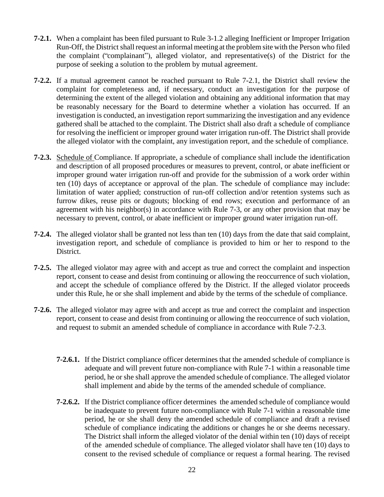- **7-2.1.** When a complaint has been filed pursuant to Rule 3-1.2 alleging Inefficient or Improper Irrigation Run-Off, the District shall request an informal meeting at the problem site with the Person who filed the complaint ("complainant"), alleged violator, and representative(s) of the District for the purpose of seeking a solution to the problem by mutual agreement.
- **7-2.2.** If a mutual agreement cannot be reached pursuant to Rule 7-2.1, the District shall review the complaint for completeness and, if necessary, conduct an investigation for the purpose of determining the extent of the alleged violation and obtaining any additional information that may be reasonably necessary for the Board to determine whether a violation has occurred. If an investigation is conducted, an investigation report summarizing the investigation and any evidence gathered shall be attached to the complaint. The District shall also draft a schedule of compliance for resolving the inefficient or improper ground water irrigation run-off. The District shall provide the alleged violator with the complaint, any investigation report, and the schedule of compliance.
- **7-2.3.** Schedule of Compliance. If appropriate, a schedule of compliance shall include the identification and description of all proposed procedures or measures to prevent, control, or abate inefficient or improper ground water irrigation run-off and provide for the submission of a work order within ten (10) days of acceptance or approval of the plan. The schedule of compliance may include: limitation of water applied; construction of run-off collection and/or retention systems such as furrow dikes, reuse pits or dugouts; blocking of end rows; execution and performance of an agreement with his neighbor(s) in accordance with Rule 7-3, or any other provision that may be necessary to prevent, control, or abate inefficient or improper ground water irrigation run-off.
- **7-2.4.** The alleged violator shall be granted not less than ten (10) days from the date that said complaint, investigation report, and schedule of compliance is provided to him or her to respond to the District.
- **7-2.5.** The alleged violator may agree with and accept as true and correct the complaint and inspection report, consent to cease and desist from continuing or allowing the reoccurrence of such violation, and accept the schedule of compliance offered by the District. If the alleged violator proceeds under this Rule, he or she shall implement and abide by the terms of the schedule of compliance.
- **7-2.6.** The alleged violator may agree with and accept as true and correct the complaint and inspection report, consent to cease and desist from continuing or allowing the reoccurrence of such violation, and request to submit an amended schedule of compliance in accordance with Rule 7-2.3.
	- **7-2.6.1.** If the District compliance officer determines that the amended schedule of compliance is adequate and will prevent future non-compliance with Rule 7-1 within a reasonable time period, he or she shall approve the amended schedule of compliance. The alleged violator shall implement and abide by the terms of the amended schedule of compliance.
	- **7-2.6.2.** If the District compliance officer determines the amended schedule of compliance would be inadequate to prevent future non-compliance with Rule 7-1 within a reasonable time period, he or she shall deny the amended schedule of compliance and draft a revised schedule of compliance indicating the additions or changes he or she deems necessary. The District shall inform the alleged violator of the denial within ten (10) days of receipt of the amended schedule of compliance. The alleged violator shall have ten (10) days to consent to the revised schedule of compliance or request a formal hearing. The revised